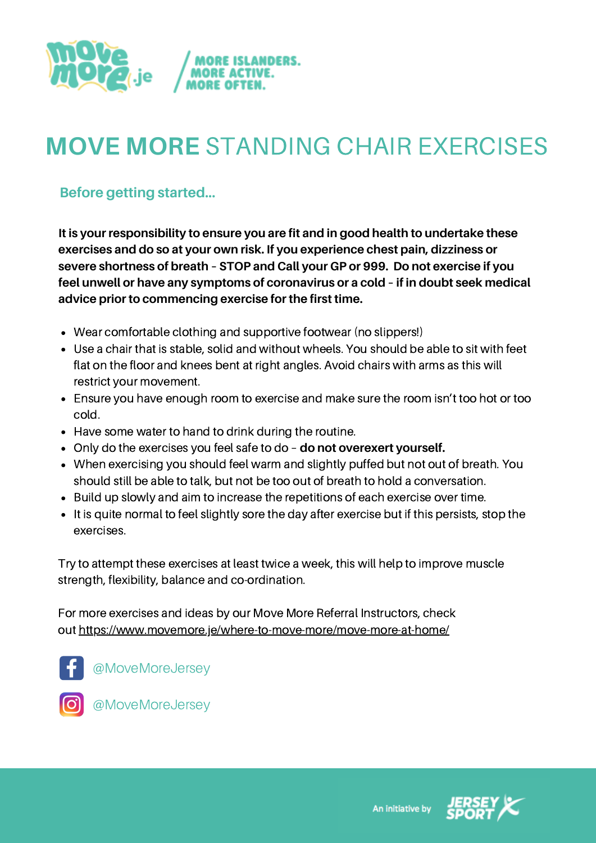

# **MOVE MORE** STANDING CHAIR EXERCISES

**Before getting started...**

**It is your responsibility to ensure you are fit and in good health to undertake these exercises and do so at your own risk. If you experience chest pain, dizziness or severe shortness of breath – STOP and Call your GP or 999. Do not exercise if you feel unwell or have any symptoms of coronavirus or a cold – if in doubt seek medical advice prior to commencing exercise for the first time.**

- Wear comfortable clothing and supportive footwear (no slippers!)
- Use a chair that is stable, solid and without wheels. You should be able to sit with feet flat on the floor and knees bent at right angles. Avoid chairs with arms as this will restrict your movement.
- Ensure you have enough room to exercise and make sure the room isn't too hot or too cold.
- Have some water to hand to drink during the routine.
- Only do the exercises you feel safe to do **do not overexert yourself.**
- When exercising you should feel warm and slightly puffed but not out of breath. You should still be able to talk, but not be too out of breath to hold a conversation.
- Build up slowly and aim to increase the repetitions of each exercise over time.
- It is quite normal to feel slightly sore the day after exercise but if this persists, stop the exercises.

Try to attempt these exercises at least twice a week, this will help to improve muscle strength, flexibility, balance and co-ordination.

For more exercises and ideas by our Move More Referral Instructors, check out <https://www.movemore.je/where-to-move-more/move-more-at-home/>



@MoveMoreJersey



@MoveMoreJersey



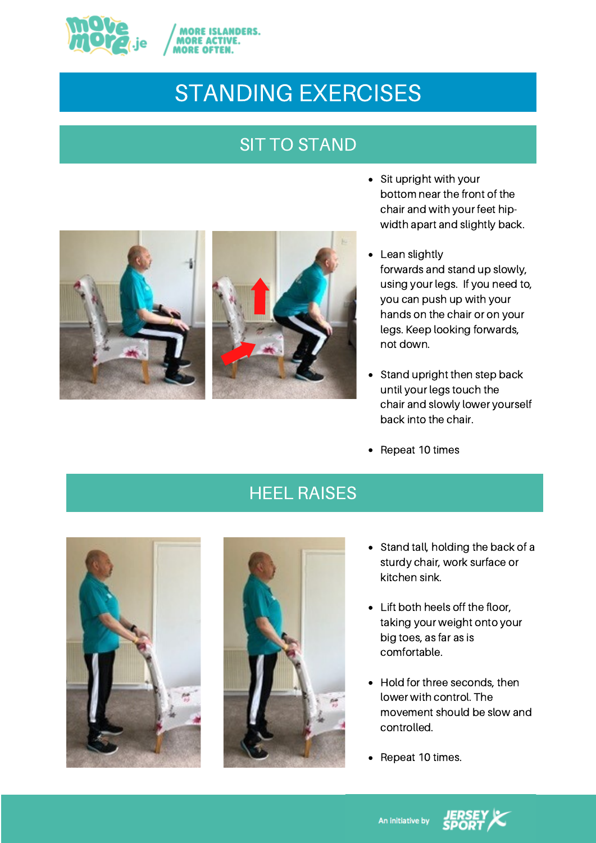

### STANDING EXERCISES

#### SIT TO STAND



- Sit upright with your bottom near the front of the chair and with your feet hipwidth apart and slightly back.
- Lean slightly forwards and stand up slowly, using your legs. If you need to, you can push up with your hands on the chair or on your legs. Keep looking forwards, not down.
- Stand upright then step back until your legs touch the chair and slowly lower yourself back into the chair.
- Repeat 10 times

#### HEEL RAISES





- Stand tall, holding the back of a sturdy chair, work surface or kitchen sink.
- Lift both heels off the floor, taking your weight onto your big toes, as far as is comfortable.
- Hold for three seconds, then lower with control. The movement should be slow and controlled.
- Repeat 10 times.

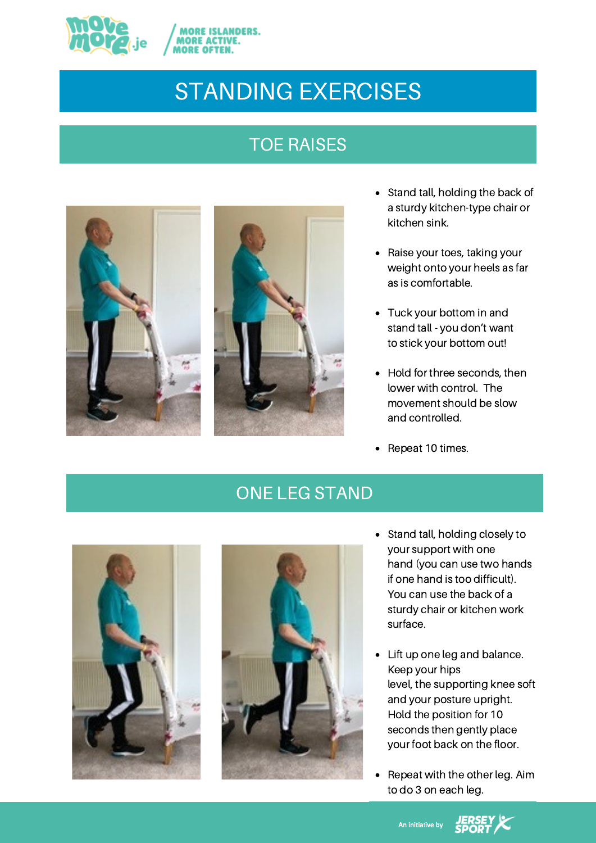

### STANDING EXERCISES

#### TOE RAISES





- Stand tall, holding the back of a sturdy kitchen-type chair or kitchen sink.
- Raise your toes, taking your weight onto your heels as far as is comfortable.
- Tuck your bottom in and stand tall - you don't want to stick your bottom out!
- Hold for three seconds, then lower with control. The movement should be slow and controlled.
- Repeat 10 times.  $\bullet$

#### ONE LEG STAND





- Stand tall, holding closely to your support with one hand (you can use two hands if one hand is too difficult). You can use the back of a sturdy chair or kitchen work surface.
- Lift up one leg and balance. Keep your hips level, the supporting knee soft and your posture upright. Hold the position for 10 seconds then gently place your foot back on the floor.
- Repeat with the other leg. Aim to do 3 on each leg.

An initiative by **JERSEY**